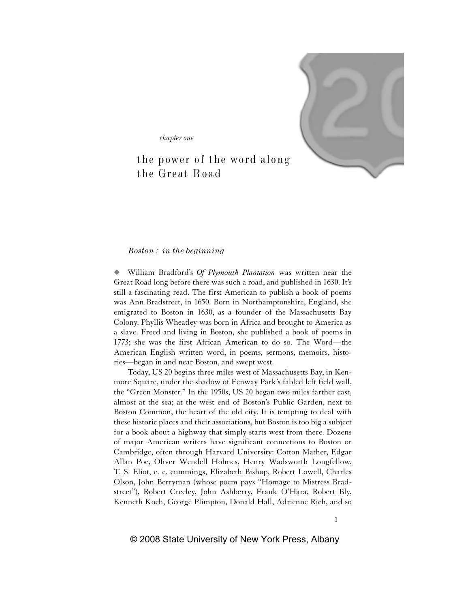

*chapter one*

# the power of the word along the Great Road

## *Boston : in the beginning*

William Bradford's *Of Plymouth Plantation* was written near the Great Road long before there was such a road, and published in 1630. It's still a fascinating read. The first American to publish a book of poems was Ann Bradstreet, in 1650. Born in Northamptonshire, England, she emigrated to Boston in 1630, as a founder of the Massachusetts Bay Colony. Phyllis Wheatley was born in Africa and brought to America as a slave. Freed and living in Boston, she published a book of poems in 1773; she was the first African American to do so. The Word—the American English written word, in poems, sermons, memoirs, histories—began in and near Boston, and swept west.

Today, US 20 begins three miles west of Massachusetts Bay, in Kenmore Square, under the shadow of Fenway Park's fabled left field wall, the "Green Monster." In the 1950s, US 20 began two miles farther east, almost at the sea; at the west end of Boston's Public Garden, next to Boston Common, the heart of the old city. It is tempting to deal with these historic places and their associations, but Boston is too big a subject for a book about a highway that simply starts west from there. Dozens of major American writers have significant connections to Boston or Cambridge, often through Harvard University: Cotton Mather, Edgar Allan Poe, Oliver Wendell Holmes, Henry Wadsworth Longfellow, T. S. Eliot, e. e. cummings, Elizabeth Bishop, Robert Lowell, Charles Olson, John Berryman (whose poem pays "Homage to Mistress Bradstreet"), Robert Creeley, John Ashberry, Frank O'Hara, Robert Bly, Kenneth Koch, George Plimpton, Donald Hall, Adrienne Rich, and so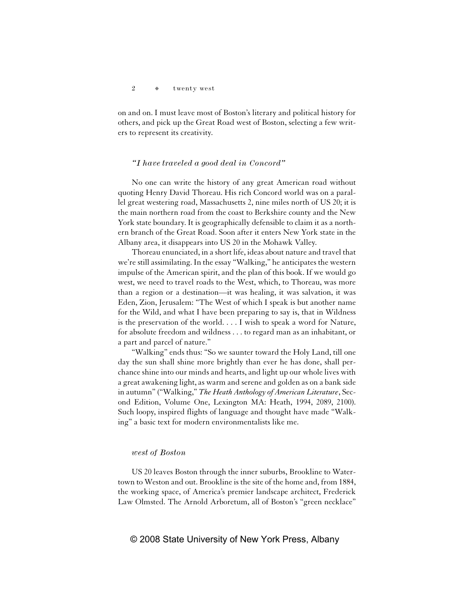on and on. I must leave most of Boston's literary and political history for others, and pick up the Great Road west of Boston, selecting a few writers to represent its creativity.

## *"I have traveled a good deal in Concord"*

No one can write the history of any great American road without quoting Henry David Thoreau. His rich Concord world was on a parallel great westering road, Massachusetts 2, nine miles north of US 20; it is the main northern road from the coast to Berkshire county and the New York state boundary. It is geographically defensible to claim it as a northern branch of the Great Road. Soon after it enters New York state in the Albany area, it disappears into US 20 in the Mohawk Valley.

Thoreau enunciated, in a short life, ideas about nature and travel that we're still assimilating. In the essay "Walking," he anticipates the western impulse of the American spirit, and the plan of this book. If we would go west, we need to travel roads to the West, which, to Thoreau, was more than a region or a destination—it was healing, it was salvation, it was Eden, Zion, Jerusalem: "The West of which I speak is but another name for the Wild, and what I have been preparing to say is, that in Wildness is the preservation of the world. . . . I wish to speak a word for Nature, for absolute freedom and wildness . . . to regard man as an inhabitant, or a part and parcel of nature."

"Walking" ends thus: "So we saunter toward the Holy Land, till one day the sun shall shine more brightly than ever he has done, shall perchance shine into our minds and hearts, and light up our whole lives with a great awakening light, as warm and serene and golden as on a bank side in autumn" ("Walking," *The Heath Anthology of American Literature*, Second Edition, Volume One, Lexington MA: Heath, 1994, 2089, 2100). Such loopy, inspired flights of language and thought have made "Walking" a basic text for modern environmentalists like me.

## *west of Boston*

US 20 leaves Boston through the inner suburbs, Brookline to Watertown to Weston and out. Brookline is the site of the home and, from 1884, the working space, of America's premier landscape architect, Frederick Law Olmsted. The Arnold Arboretum, all of Boston's "green necklace"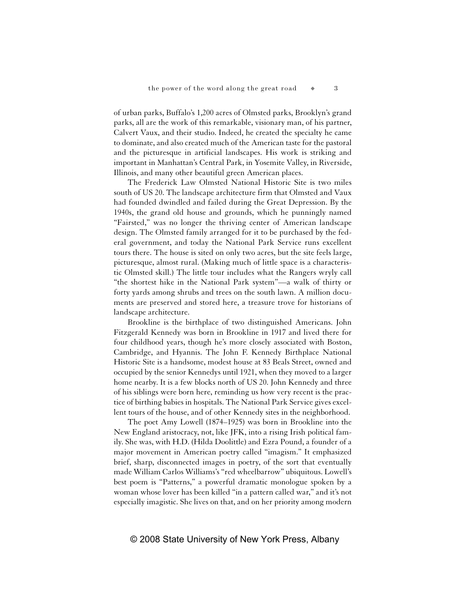of urban parks, Buffalo's 1,200 acres of Olmsted parks, Brooklyn's grand parks, all are the work of this remarkable, visionary man, of his partner, Calvert Vaux, and their studio. Indeed, he created the specialty he came to dominate, and also created much of the American taste for the pastoral and the picturesque in artificial landscapes. His work is striking and important in Manhattan's Central Park, in Yosemite Valley, in Riverside, Illinois, and many other beautiful green American places.

The Frederick Law Olmsted National Historic Site is two miles south of US 20. The landscape architecture firm that Olmsted and Vaux had founded dwindled and failed during the Great Depression. By the 1940s, the grand old house and grounds, which he punningly named "Fairsted," was no longer the thriving center of American landscape design. The Olmsted family arranged for it to be purchased by the federal government, and today the National Park Service runs excellent tours there. The house is sited on only two acres, but the site feels large, picturesque, almost rural. (Making much of little space is a characteristic Olmsted skill.) The little tour includes what the Rangers wryly call "the shortest hike in the National Park system"—a walk of thirty or forty yards among shrubs and trees on the south lawn. A million documents are preserved and stored here, a treasure trove for historians of landscape architecture.

Brookline is the birthplace of two distinguished Americans. John Fitzgerald Kennedy was born in Brookline in 1917 and lived there for four childhood years, though he's more closely associated with Boston, Cambridge, and Hyannis. The John F. Kennedy Birthplace National Historic Site is a handsome, modest house at 83 Beals Street, owned and occupied by the senior Kennedys until 1921, when they moved to a larger home nearby. It is a few blocks north of US 20. John Kennedy and three of his siblings were born here, reminding us how very recent is the practice of birthing babies in hospitals. The National Park Service gives excellent tours of the house, and of other Kennedy sites in the neighborhood.

The poet Amy Lowell (1874–1925) was born in Brookline into the New England aristocracy, not, like JFK, into a rising Irish political family. She was, with H.D. (Hilda Doolittle) and Ezra Pound, a founder of a major movement in American poetry called "imagism." It emphasized brief, sharp, disconnected images in poetry, of the sort that eventually made William Carlos Williams's "red wheelbarrow" ubiquitous. Lowell's best poem is "Patterns," a powerful dramatic monologue spoken by a woman whose lover has been killed "in a pattern called war," and it's not especially imagistic. She lives on that, and on her priority among modern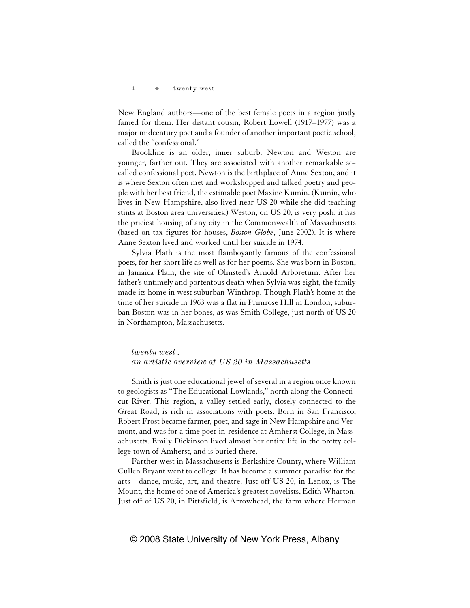New England authors—one of the best female poets in a region justly famed for them. Her distant cousin, Robert Lowell (1917–1977) was a major midcentury poet and a founder of another important poetic school, called the "confessional."

Brookline is an older, inner suburb. Newton and Weston are younger, farther out. They are associated with another remarkable socalled confessional poet. Newton is the birthplace of Anne Sexton, and it is where Sexton often met and workshopped and talked poetry and people with her best friend, the estimable poet Maxine Kumin. (Kumin, who lives in New Hampshire, also lived near US 20 while she did teaching stints at Boston area universities.) Weston, on US 20, is very posh: it has the priciest housing of any city in the Commonwealth of Massachusetts (based on tax figures for houses, *Boston Globe*, June 2002). It is where Anne Sexton lived and worked until her suicide in 1974.

Sylvia Plath is the most flamboyantly famous of the confessional poets, for her short life as well as for her poems. She was born in Boston, in Jamaica Plain, the site of Olmsted's Arnold Arboretum. After her father's untimely and portentous death when Sylvia was eight, the family made its home in west suburban Winthrop. Though Plath's home at the time of her suicide in 1963 was a flat in Primrose Hill in London, suburban Boston was in her bones, as was Smith College, just north of US 20 in Northampton, Massachusetts.

*twenty west : an artistic overview of US 20 in Massachusetts*

Smith is just one educational jewel of several in a region once known to geologists as "The Educational Lowlands," north along the Connecticut River. This region, a valley settled early, closely connected to the Great Road, is rich in associations with poets. Born in San Francisco, Robert Frost became farmer, poet, and sage in New Hampshire and Vermont, and was for a time poet-in-residence at Amherst College, in Massachusetts. Emily Dickinson lived almost her entire life in the pretty college town of Amherst, and is buried there.

Farther west in Massachusetts is Berkshire County, where William Cullen Bryant went to college. It has become a summer paradise for the arts—dance, music, art, and theatre. Just off US 20, in Lenox, is The Mount, the home of one of America's greatest novelists, Edith Wharton. Just off of US 20, in Pittsfield, is Arrowhead, the farm where Herman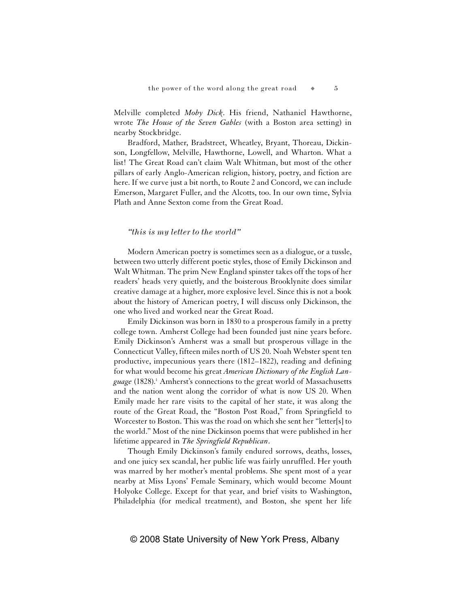Melville completed *Moby Dick*. His friend, Nathaniel Hawthorne, wrote *The House of the Seven Gables* (with a Boston area setting) in nearby Stockbridge.

Bradford, Mather, Bradstreet, Wheatley, Bryant, Thoreau, Dickinson, Longfellow, Melville, Hawthorne, Lowell, and Wharton. What a list! The Great Road can't claim Walt Whitman, but most of the other pillars of early Anglo-American religion, history, poetry, and fiction are here. If we curve just a bit north, to Route 2 and Concord, we can include Emerson, Margaret Fuller, and the Alcotts, too. In our own time, Sylvia Plath and Anne Sexton come from the Great Road.

## *"this is my letter to the world"*

Modern American poetry is sometimes seen as a dialogue, or a tussle, between two utterly different poetic styles, those of Emily Dickinson and Walt Whitman. The prim New England spinster takes off the tops of her readers' heads very quietly, and the boisterous Brooklynite does similar creative damage at a higher, more explosive level. Since this is not a book about the history of American poetry, I will discuss only Dickinson, the one who lived and worked near the Great Road.

Emily Dickinson was born in 1830 to a prosperous family in a pretty college town. Amherst College had been founded just nine years before. Emily Dickinson's Amherst was a small but prosperous village in the Connecticut Valley, fifteen miles north of US 20. Noah Webster spent ten productive, impecunious years there (1812–1822), reading and defining for what would become his great *American Dictionary of the English Lan*guage (1828).<sup>1</sup> Amherst's connections to the great world of Massachusetts and the nation went along the corridor of what is now US 20. When Emily made her rare visits to the capital of her state, it was along the route of the Great Road, the "Boston Post Road," from Springfield to Worcester to Boston. This was the road on which she sent her "letter[s] to the world." Most of the nine Dickinson poems that were published in her lifetime appeared in *The Springfield Republican*.

Though Emily Dickinson's family endured sorrows, deaths, losses, and one juicy sex scandal, her public life was fairly unruffled. Her youth was marred by her mother's mental problems. She spent most of a year nearby at Miss Lyons' Female Seminary, which would become Mount Holyoke College. Except for that year, and brief visits to Washington, Philadelphia (for medical treatment), and Boston, she spent her life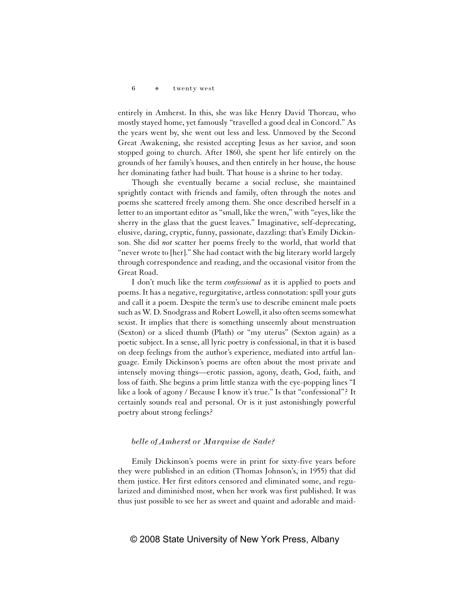entirely in Amherst. In this, she was like Henry David Thoreau, who mostly stayed home, yet famously "travelled a good deal in Concord." As the years went by, she went out less and less. Unmoved by the Second Great Awakening, she resisted accepting Jesus as her savior, and soon stopped going to church. After 1860, she spent her life entirely on the grounds of her family's houses, and then entirely in her house, the house her dominating father had built. That house is a shrine to her today.

Though she eventually became a social recluse, she maintained sprightly contact with friends and family, often through the notes and poems she scattered freely among them. She once described herself in a letter to an important editor as "small, like the wren," with "eyes, like the sherry in the glass that the guest leaves." Imaginative, self-deprecating, elusive, daring, cryptic, funny, passionate, dazzling: that's Emily Dickinson. She did *not* scatter her poems freely to the world, that world that "never wrote to [her]." She had contact with the big literary world largely through correspondence and reading, and the occasional visitor from the Great Road.

I don't much like the term *confessional* as it is applied to poets and poems. It has a negative, regurgitative, artless connotation: spill your guts and call it a poem. Despite the term's use to describe eminent male poets such as W. D. Snodgrass and Robert Lowell, it also often seems somewhat sexist. It implies that there is something unseemly about menstruation (Sexton) or a sliced thumb (Plath) or "my uterus" (Sexton again) as a poetic subject. In a sense, all lyric poetry is confessional, in that it is based on deep feelings from the author's experience, mediated into artful language. Emily Dickinson's poems are often about the most private and intensely moving things—erotic passion, agony, death, God, faith, and loss of faith. She begins a prim little stanza with the eye-popping lines "I like a look of agony / Because I know it's true." Is that "confessional"? It certainly sounds real and personal. Or is it just astonishingly powerful poetry about strong feelings?

## *belle of Amherst or Marquise de Sade?*

Emily Dickinson's poems were in print for sixty-five years before they were published in an edition (Thomas Johnson's, in 1955) that did them justice. Her first editors censored and eliminated some, and regularized and diminished most, when her work was first published. It was thus just possible to see her as sweet and quaint and adorable and maid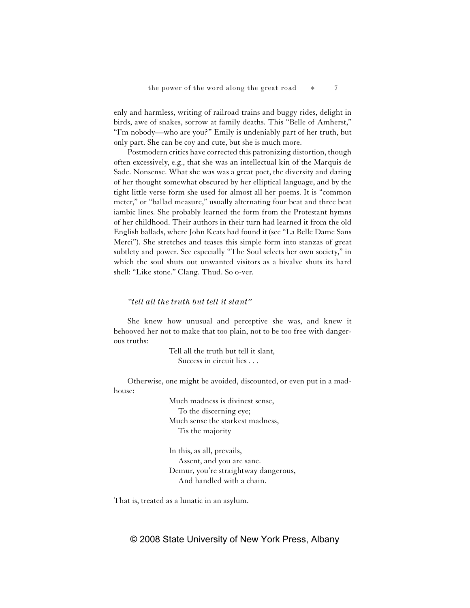enly and harmless, writing of railroad trains and buggy rides, delight in birds, awe of snakes, sorrow at family deaths. This "Belle of Amherst," "I'm nobody—who are you?" Emily is undeniably part of her truth, but only part. She can be coy and cute, but she is much more.

Postmodern critics have corrected this patronizing distortion, though often excessively, e.g., that she was an intellectual kin of the Marquis de Sade. Nonsense. What she was was a great poet, the diversity and daring of her thought somewhat obscured by her elliptical language, and by the tight little verse form she used for almost all her poems. It is "common meter," or "ballad measure," usually alternating four beat and three beat iambic lines. She probably learned the form from the Protestant hymns of her childhood. Their authors in their turn had learned it from the old English ballads, where John Keats had found it (see "La Belle Dame Sans Merci"). She stretches and teases this simple form into stanzas of great subtlety and power. See especially "The Soul selects her own society," in which the soul shuts out unwanted visitors as a bivalve shuts its hard shell: "Like stone." Clang. Thud. So o-ver.

## *"tell all the truth but tell it slant"*

She knew how unusual and perceptive she was, and knew it behooved her not to make that too plain, not to be too free with dangerous truths:

> Tell all the truth but tell it slant, Success in circuit lies...

Otherwise, one might be avoided, discounted, or even put in a madhouse:

> Much madness is divinest sense, To the discerning eye; Much sense the starkest madness, Tis the majority

In this, as all, prevails, Assent, and you are sane. Demur, you're straightway dangerous, And handled with a chain.

That is, treated as a lunatic in an asylum.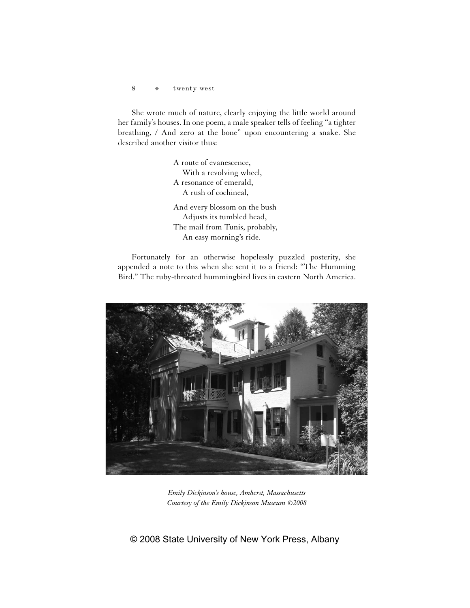8 twenty west

She wrote much of nature, clearly enjoying the little world around her family's houses. In one poem, a male speaker tells of feeling "a tighter breathing, / And zero at the bone" upon encountering a snake. She described another visitor thus:

> A route of evanescence, With a revolving wheel, A resonance of emerald, A rush of cochineal, And every blossom on the bush

> Adjusts its tumbled head, The mail from Tunis, probably, An easy morning's ride.

Fortunately for an otherwise hopelessly puzzled posterity, she appended a note to this when she sent it to a friend: "The Humming Bird." The ruby-throated hummingbird lives in eastern North America.



*Emily Dickinson's house, Amherst, Massachusetts Courtesy of the Emily Dickinson Museum ©2008*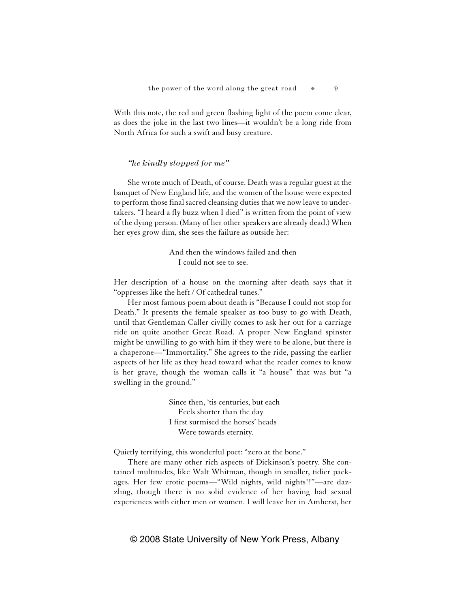With this note, the red and green flashing light of the poem come clear, as does the joke in the last two lines—it wouldn't be a long ride from North Africa for such a swift and busy creature.

## *"he kindly stopped for me"*

She wrote much of Death, of course. Death was a regular guest at the banquet of New England life, and the women of the house were expected to perform those final sacred cleansing duties that we now leave to undertakers. "I heard a fly buzz when I died" is written from the point of view of the dying person. (Many of her other speakers are already dead.) When her eyes grow dim, she sees the failure as outside her:

> And then the windows failed and then I could not see to see.

Her description of a house on the morning after death says that it "oppresses like the heft / Of cathedral tunes."

Her most famous poem about death is "Because I could not stop for Death." It presents the female speaker as too busy to go with Death, until that Gentleman Caller civilly comes to ask her out for a carriage ride on quite another Great Road. A proper New England spinster might be unwilling to go with him if they were to be alone, but there is a chaperone—"Immortality." She agrees to the ride, passing the earlier aspects of her life as they head toward what the reader comes to know is her grave, though the woman calls it "a house" that was but "a swelling in the ground."

> Since then, 'tis centuries, but each Feels shorter than the day I first surmised the horses' heads Were towards eternity.

Quietly terrifying, this wonderful poet: "zero at the bone."

There are many other rich aspects of Dickinson's poetry. She contained multitudes, like Walt Whitman, though in smaller, tidier packages. Her few erotic poems—"Wild nights, wild nights!!"—are dazzling, though there is no solid evidence of her having had sexual experiences with either men or women. I will leave her in Amherst, her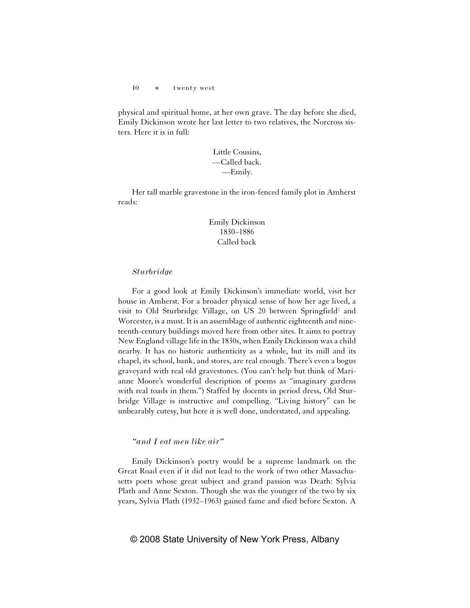10 ◆ twenty west

physical and spiritual home, at her own grave. The day before she died, Emily Dickinson wrote her last letter to two relatives, the Norcross sisters. Here it is in full:

> Little Cousins, —Called back. —Emily.

Her tall marble gravestone in the iron-fenced family plot in Amherst reads:

> Emily Dickinson 1830–1886 Called back

## *Sturbridge*

For a good look at Emily Dickinson's immediate world, visit her house in Amherst. For a broader physical sense of how her age lived, a visit to Old Sturbridge Village, on US 20 between Springfield<sup>2</sup> and Worcester, is a must. It is an assemblage of authentic eighteenth and nineteenth-century buildings moved here from other sites. It aims to portray New England village life in the 1830s, when Emily Dickinson was a child nearby. It has no historic authenticity as a whole, but its mill and its chapel, its school, bank, and stores, are real enough. There's even a bogus graveyard with real old gravestones. (You can't help but think of Marianne Moore's wonderful description of poems as "imaginary gardens with real toads in them.") Staffed by docents in period dress, Old Sturbridge Village is instructive and compelling. "Living history" can be unbearably cutesy, but here it is well done, understated, and appealing.

## *"and I eat men like air"*

Emily Dickinson's poetry would be a supreme landmark on the Great Road even if it did not lead to the work of two other Massachusetts poets whose great subject and grand passion was Death: Sylvia Plath and Anne Sexton. Though she was the younger of the two by six years, Sylvia Plath (1932–1963) gained fame and died before Sexton. A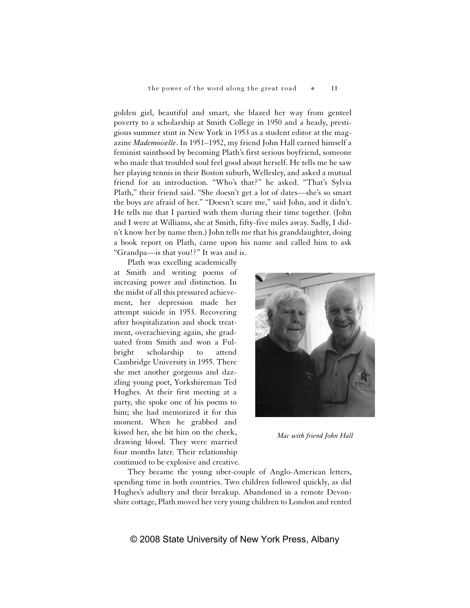golden girl, beautiful and smart, she blazed her way from genteel poverty to a scholarship at Smith College in 1950 and a heady, prestigious summer stint in New York in 1953 as a student editor at the magazine *Mademoiselle*. In 1951–1952, my friend John Hall earned himself a feminist sainthood by becoming Plath's first serious boyfriend, someone who made that troubled soul feel good about herself. He tells me he saw her playing tennis in their Boston suburb, Wellesley, and asked a mutual friend for an introduction. "Who's that?" he asked. "That's Sylvia Plath," their friend said. "She doesn't get a lot of dates—she's so smart the boys are afraid of her." "Doesn't scare me," said John, and it didn't. He tells me that I partied with them during their time together. (John and I were at Williams, she at Smith, fifty-five miles away. Sadly, I didn't know her by name then.) John tells me that his granddaughter, doing a book report on Plath, came upon his name and called him to ask "Grandpa—is that you!?" It was and is.

Plath was excelling academically at Smith and writing poems of increasing power and distinction. In the midst of all this pressured achievement, her depression made her attempt suicide in 1953. Recovering after hospitalization and shock treatment, overachieving again, she graduated from Smith and won a Fulbright scholarship to attend Cambridge University in 1955. There she met another gorgeous and dazzling young poet, Yorkshireman Ted Hughes. At their first meeting at a party, she spoke one of his poems to him; she had memorized it for this moment. When he grabbed and kissed her, she bit him on the cheek, drawing blood. They were married four months later. Their relationship continued to be explosive and creative.



*Mac with friend John Hall*

They became the young uber-couple of Anglo-American letters, spending time in both countries. Two children followed quickly, as did Hughes's adultery and their breakup. Abandoned in a remote Devonshire cottage, Plath moved her very young children to London and rented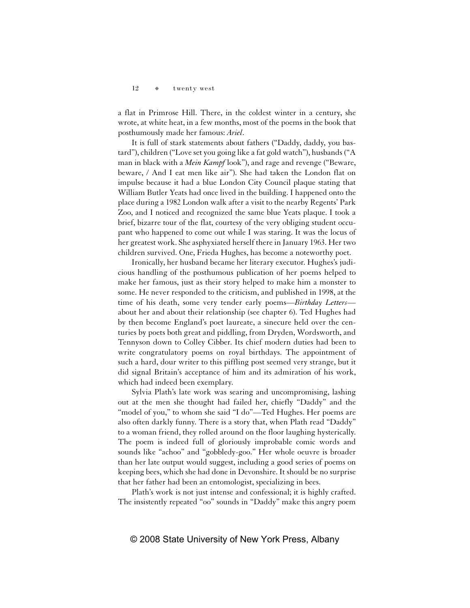a flat in Primrose Hill. There, in the coldest winter in a century, she wrote, at white heat, in a few months, most of the poems in the book that posthumously made her famous: *Ariel*.

It is full of stark statements about fathers ("Daddy, daddy, you bastard"), children ("Love set you going like a fat gold watch"), husbands ("A man in black with a *Mein Kampf* look"), and rage and revenge ("Beware, beware, / And I eat men like air"). She had taken the London flat on impulse because it had a blue London City Council plaque stating that William Butler Yeats had once lived in the building. I happened onto the place during a 1982 London walk after a visit to the nearby Regents' Park Zoo, and I noticed and recognized the same blue Yeats plaque. I took a brief, bizarre tour of the flat, courtesy of the very obliging student occupant who happened to come out while I was staring. It was the locus of her greatest work. She asphyxiated herself there in January 1963. Her two children survived. One, Frieda Hughes, has become a noteworthy poet.

Ironically, her husband became her literary executor. Hughes's judicious handling of the posthumous publication of her poems helped to make her famous, just as their story helped to make him a monster to some. He never responded to the criticism, and published in 1998, at the time of his death, some very tender early poems—*Birthday Letters* about her and about their relationship (see chapter 6). Ted Hughes had by then become England's poet laureate, a sinecure held over the centuries by poets both great and piddling, from Dryden, Wordsworth, and Tennyson down to Colley Cibber. Its chief modern duties had been to write congratulatory poems on royal birthdays. The appointment of such a hard, dour writer to this piffling post seemed very strange, but it did signal Britain's acceptance of him and its admiration of his work, which had indeed been exemplary.

Sylvia Plath's late work was searing and uncompromising, lashing out at the men she thought had failed her, chiefly "Daddy" and the "model of you," to whom she said "I do"—Ted Hughes. Her poems are also often darkly funny. There is a story that, when Plath read "Daddy" to a woman friend, they rolled around on the floor laughing hysterically. The poem is indeed full of gloriously improbable comic words and sounds like "achoo" and "gobbledy-goo." Her whole oeuvre is broader than her late output would suggest, including a good series of poems on keeping bees, which she had done in Devonshire. It should be no surprise that her father had been an entomologist, specializing in bees.

Plath's work is not just intense and confessional; it is highly crafted. The insistently repeated "oo" sounds in "Daddy" make this angry poem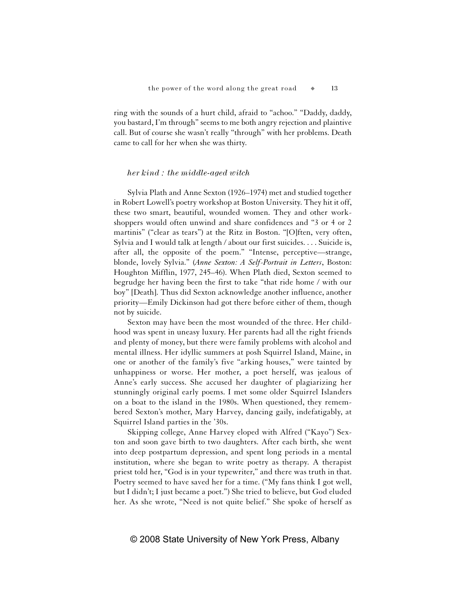ring with the sounds of a hurt child, afraid to "achoo." "Daddy, daddy, you bastard, I'm through" seems to me both angry rejection and plaintive call. But of course she wasn't really "through" with her problems. Death came to call for her when she was thirty.

## *her kind : the middle-aged witch*

Sylvia Plath and Anne Sexton (1926–1974) met and studied together in Robert Lowell's poetry workshop at Boston University. They hit it off, these two smart, beautiful, wounded women. They and other workshoppers would often unwind and share confidences and "3 or 4 or 2 martinis" ("clear as tears") at the Ritz in Boston. "[O]ften, very often, Sylvia and I would talk at length / about our first suicides. . . . Suicide is, after all, the opposite of the poem." "Intense, perceptive—strange, blonde, lovely Sylvia." (*Anne Sexton: A Self-Portrait in Letters*, Boston: Houghton Mifflin, 1977, 245–46). When Plath died, Sexton seemed to begrudge her having been the first to take "that ride home / with our boy" [Death]. Thus did Sexton acknowledge another influence, another priority—Emily Dickinson had got there before either of them, though not by suicide.

Sexton may have been the most wounded of the three. Her childhood was spent in uneasy luxury. Her parents had all the right friends and plenty of money, but there were family problems with alcohol and mental illness. Her idyllic summers at posh Squirrel Island, Maine, in one or another of the family's five "arking houses," were tainted by unhappiness or worse. Her mother, a poet herself, was jealous of Anne's early success. She accused her daughter of plagiarizing her stunningly original early poems. I met some older Squirrel Islanders on a boat to the island in the 1980s. When questioned, they remembered Sexton's mother, Mary Harvey, dancing gaily, indefatigably, at Squirrel Island parties in the '30s.

Skipping college, Anne Harvey eloped with Alfred ("Kayo") Sexton and soon gave birth to two daughters. After each birth, she went into deep postpartum depression, and spent long periods in a mental institution, where she began to write poetry as therapy. A therapist priest told her, "God is in your typewriter," and there was truth in that. Poetry seemed to have saved her for a time. ("My fans think I got well, but I didn't; I just became a poet.") She tried to believe, but God eluded her. As she wrote, "Need is not quite belief." She spoke of herself as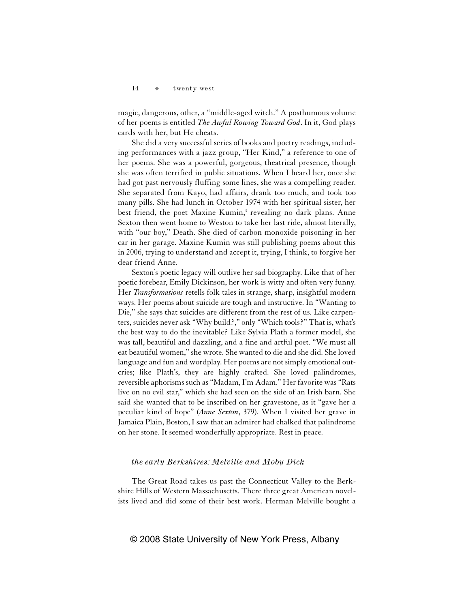magic, dangerous, other, a "middle-aged witch." A posthumous volume of her poems is entitled *The Awful Rowing Toward God*. In it, God plays cards with her, but He cheats.

She did a very successful series of books and poetry readings, including performances with a jazz group, "Her Kind," a reference to one of her poems. She was a powerful, gorgeous, theatrical presence, though she was often terrified in public situations. When I heard her, once she had got past nervously fluffing some lines, she was a compelling reader. She separated from Kayo, had affairs, drank too much, and took too many pills. She had lunch in October 1974 with her spiritual sister, her best friend, the poet Maxine Kumin,<sup>3</sup> revealing no dark plans. Anne Sexton then went home to Weston to take her last ride, almost literally, with "our boy," Death. She died of carbon monoxide poisoning in her car in her garage. Maxine Kumin was still publishing poems about this in 2006, trying to understand and accept it, trying, I think, to forgive her dear friend Anne.

Sexton's poetic legacy will outlive her sad biography. Like that of her poetic forebear, Emily Dickinson, her work is witty and often very funny. Her *Transformations* retells folk tales in strange, sharp, insightful modern ways. Her poems about suicide are tough and instructive. In "Wanting to Die," she says that suicides are different from the rest of us. Like carpenters, suicides never ask "Why build?," only "Which tools?" That is, what's the best way to do the inevitable? Like Sylvia Plath a former model, she was tall, beautiful and dazzling, and a fine and artful poet. "We must all eat beautiful women," she wrote. She wanted to die and she did. She loved language and fun and wordplay. Her poems are not simply emotional outcries; like Plath's, they are highly crafted. She loved palindromes, reversible aphorisms such as "Madam, I'm Adam." Her favorite was "Rats live on no evil star," which she had seen on the side of an Irish barn. She said she wanted that to be inscribed on her gravestone, as it "gave her a peculiar kind of hope" (*Anne Sexton*, 379). When I visited her grave in Jamaica Plain, Boston, I saw that an admirer had chalked that palindrome on her stone. It seemed wonderfully appropriate. Rest in peace.

## *the early Berkshires:Melville and Moby Dick*

The Great Road takes us past the Connecticut Valley to the Berkshire Hills of Western Massachusetts. There three great American novelists lived and did some of their best work. Herman Melville bought a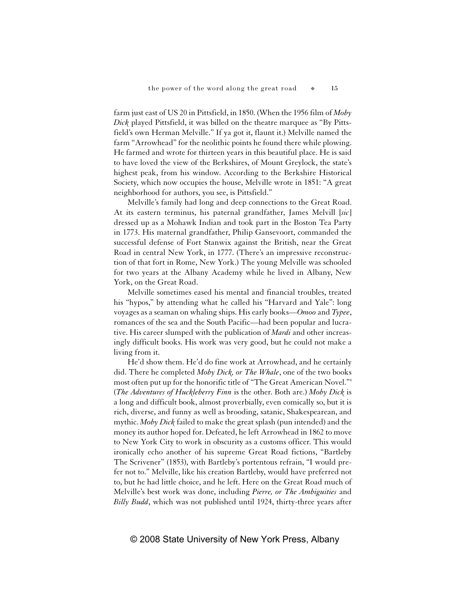farm just east of US 20 in Pittsfield, in 1850. (When the 1956 film of *Moby Dick* played Pittsfield, it was billed on the theatre marquee as "By Pittsfield's own Herman Melville." If ya got it, flaunt it.) Melville named the farm "Arrowhead" for the neolithic points he found there while plowing. He farmed and wrote for thirteen years in this beautiful place. He is said to have loved the view of the Berkshires, of Mount Greylock, the state's highest peak, from his window. According to the Berkshire Historical Society, which now occupies the house, Melville wrote in 1851: "A great neighborhood for authors, you see, is Pittsfield."

Melville's family had long and deep connections to the Great Road. At its eastern terminus, his paternal grandfather, James Melvill [*sic*] dressed up as a Mohawk Indian and took part in the Boston Tea Party in 1773. His maternal grandfather, Philip Gansevoort, commanded the successful defense of Fort Stanwix against the British, near the Great Road in central New York, in 1777. (There's an impressive reconstruction of that fort in Rome, New York.) The young Melville was schooled for two years at the Albany Academy while he lived in Albany, New York, on the Great Road.

Melville sometimes eased his mental and financial troubles, treated his "hypos," by attending what he called his "Harvard and Yale": long voyages as a seaman on whaling ships. His early books—*Omoo* and *Typee*, romances of the sea and the South Pacific—had been popular and lucrative. His career slumped with the publication of *Mardi* and other increasingly difficult books. His work was very good, but he could not make a living from it.

He'd show them. He'd do fine work at Arrowhead, and he certainly did. There he completed *Moby Dick, or The Whale*, one of the two books most often put up for the honorific title of "The Great American Novel."4 (*The Adventures of Huckleberry Finn* is the other. Both are.) *Moby Dick* is a long and difficult book, almost proverbially, even comically so, but it is rich, diverse, and funny as well as brooding, satanic, Shakespearean, and mythic. *Moby Dick* failed to make the great splash (pun intended) and the money its author hoped for. Defeated, he left Arrowhead in 1862 to move to New York City to work in obscurity as a customs officer. This would ironically echo another of his supreme Great Road fictions, "Bartleby The Scrivener" (1853), with Bartleby's portentous refrain, "I would prefer not to." Melville, like his creation Bartleby, would have preferred not to, but he had little choice, and he left. Here on the Great Road much of Melville's best work was done, including *Pierre, or The Ambiguities* and *Billy Budd*, which was not published until 1924, thirty-three years after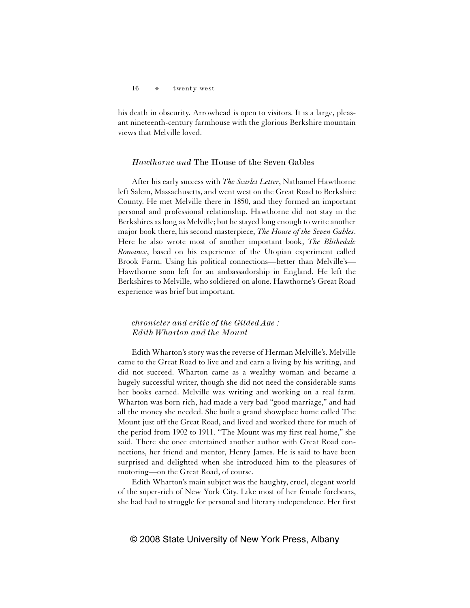his death in obscurity. Arrowhead is open to visitors. It is a large, pleasant nineteenth-century farmhouse with the glorious Berkshire mountain views that Melville loved.

## *Hawthorne and* The House of the Seven Gables

After his early success with *The Scarlet Letter*, Nathaniel Hawthorne left Salem, Massachusetts, and went west on the Great Road to Berkshire County. He met Melville there in 1850, and they formed an important personal and professional relationship. Hawthorne did not stay in the Berkshires as long as Melville; but he stayed long enough to write another major book there, his second masterpiece, *The House of the Seven Gables*. Here he also wrote most of another important book, *The Blithedale Romance*, based on his experience of the Utopian experiment called Brook Farm. Using his political connections—better than Melville's— Hawthorne soon left for an ambassadorship in England. He left the Berkshires to Melville, who soldiered on alone. Hawthorne's Great Road experience was brief but important.

## *chronicler and critic of the Gilded Age : Edith Wharton and the Mount*

Edith Wharton's story was the reverse of Herman Melville's. Melville came to the Great Road to live and and earn a living by his writing, and did not succeed. Wharton came as a wealthy woman and became a hugely successful writer, though she did not need the considerable sums her books earned. Melville was writing and working on a real farm. Wharton was born rich, had made a very bad "good marriage," and had all the money she needed. She built a grand showplace home called The Mount just off the Great Road, and lived and worked there for much of the period from 1902 to 1911. "The Mount was my first real home," she said. There she once entertained another author with Great Road connections, her friend and mentor, Henry James. He is said to have been surprised and delighted when she introduced him to the pleasures of motoring—on the Great Road, of course.

Edith Wharton's main subject was the haughty, cruel, elegant world of the super-rich of New York City. Like most of her female forebears, she had had to struggle for personal and literary independence. Her first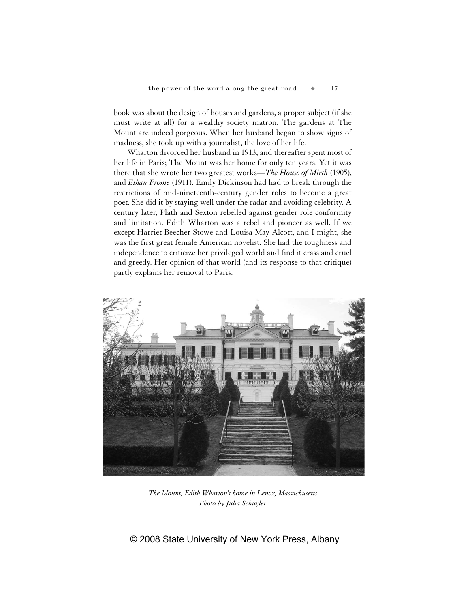book was about the design of houses and gardens, a proper subject (if she must write at all) for a wealthy society matron. The gardens at The Mount are indeed gorgeous. When her husband began to show signs of madness, she took up with a journalist, the love of her life.

Wharton divorced her husband in 1913, and thereafter spent most of her life in Paris; The Mount was her home for only ten years. Yet it was there that she wrote her two greatest works—*The House of Mirth* (1905), and *Ethan Frome* (1911). Emily Dickinson had had to break through the restrictions of mid-nineteenth-century gender roles to become a great poet. She did it by staying well under the radar and avoiding celebrity. A century later, Plath and Sexton rebelled against gender role conformity and limitation. Edith Wharton was a rebel and pioneer as well. If we except Harriet Beecher Stowe and Louisa May Alcott, and I might, she was the first great female American novelist. She had the toughness and independence to criticize her privileged world and find it crass and cruel and greedy. Her opinion of that world (and its response to that critique) partly explains her removal to Paris.



*The Mount, Edith Wharton's home in Lenox, Massachusetts Photo by Julia Schuyler*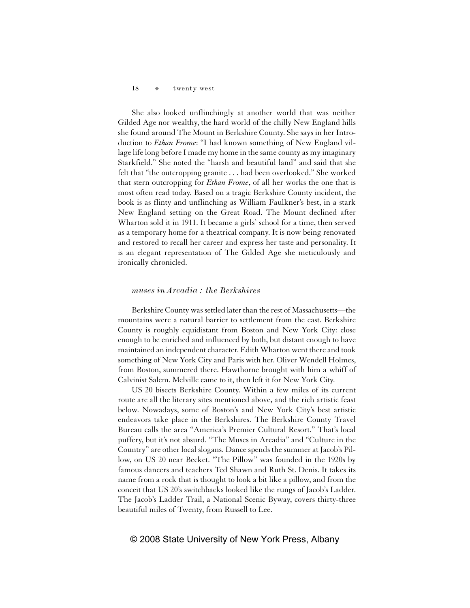18 ◆ twenty west

She also looked unflinchingly at another world that was neither Gilded Age nor wealthy, the hard world of the chilly New England hills she found around The Mount in Berkshire County. She says in her Introduction to *Ethan Frome*: "I had known something of New England village life long before I made my home in the same county as my imaginary Starkfield." She noted the "harsh and beautiful land" and said that she felt that "the outcropping granite . . . had been overlooked." She worked that stern outcropping for *Ethan Frome*, of all her works the one that is most often read today. Based on a tragic Berkshire County incident, the book is as flinty and unflinching as William Faulkner's best, in a stark New England setting on the Great Road. The Mount declined after Wharton sold it in 1911. It became a girls' school for a time, then served as a temporary home for a theatrical company. It is now being renovated and restored to recall her career and express her taste and personality. It is an elegant representation of The Gilded Age she meticulously and ironically chronicled.

## *muses in Arcadia : the Berkshires*

Berkshire County was settled later than the rest of Massachusetts—the mountains were a natural barrier to settlement from the east. Berkshire County is roughly equidistant from Boston and New York City: close enough to be enriched and influenced by both, but distant enough to have maintained an independent character. Edith Wharton went there and took something of New York City and Paris with her. Oliver Wendell Holmes, from Boston, summered there. Hawthorne brought with him a whiff of Calvinist Salem. Melville came to it, then left it for New York City.

US 20 bisects Berkshire County. Within a few miles of its current route are all the literary sites mentioned above, and the rich artistic feast below. Nowadays, some of Boston's and New York City's best artistic endeavors take place in the Berkshires. The Berkshire County Travel Bureau calls the area "America's Premier Cultural Resort." That's local puffery, but it's not absurd. "The Muses in Arcadia" and "Culture in the Country" are other local slogans. Dance spends the summer at Jacob's Pillow, on US 20 near Becket. "The Pillow" was founded in the 1920s by famous dancers and teachers Ted Shawn and Ruth St. Denis. It takes its name from a rock that is thought to look a bit like a pillow, and from the conceit that US 20's switchbacks looked like the rungs of Jacob's Ladder. The Jacob's Ladder Trail, a National Scenic Byway, covers thirty-three beautiful miles of Twenty, from Russell to Lee.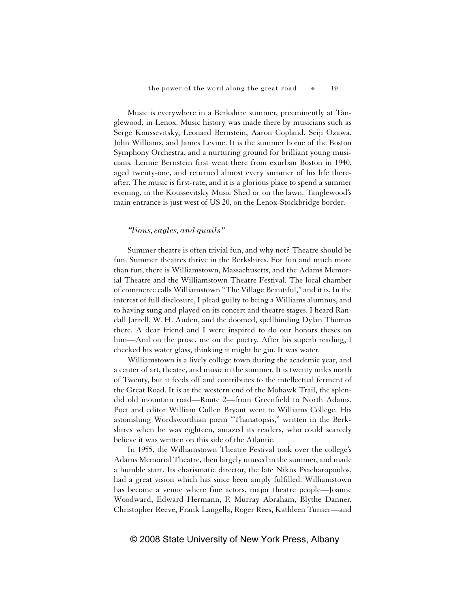Music is everywhere in a Berkshire summer, preeminently at Tanglewood, in Lenox. Music history was made there by musicians such as Serge Koussevitsky, Leonard Bernstein, Aaron Copland, Seiji Ozawa, John Williams, and James Levine. It is the summer home of the Boston Symphony Orchestra, and a nurturing ground for brilliant young musicians. Lennie Bernstein first went there from exurban Boston in 1940, aged twenty-one, and returned almost every summer of his life thereafter. The music is first-rate, and it is a glorious place to spend a summer evening, in the Koussevitsky Music Shed or on the lawn. Tanglewood's main entrance is just west of US 20, on the Lenox-Stockbridge border.

#### *"lions,eagles,and quails"*

Summer theatre is often trivial fun, and why not? Theatre should be fun. Summer theatres thrive in the Berkshires. For fun and much more than fun, there is Williamstown, Massachusetts, and the Adams Memorial Theatre and the Williamstown Theatre Festival. The local chamber of commerce calls Williamstown "The Village Beautiful," and it is. In the interest of full disclosure, I plead guilty to being a Williams alumnus, and to having sung and played on its concert and theatre stages. I heard Randall Jarrell, W. H. Auden, and the doomed, spellbinding Dylan Thomas there. A dear friend and I were inspired to do our honors theses on him—Anil on the prose, me on the poetry. After his superb reading, I checked his water glass, thinking it might be gin. It was water.

Williamstown is a lively college town during the academic year, and a center of art, theatre, and music in the summer. It is twenty miles north of Twenty, but it feeds off and contributes to the intellectual ferment of the Great Road. It is at the western end of the Mohawk Trail, the splendid old mountain road—Route 2—from Greenfield to North Adams. Poet and editor William Cullen Bryant went to Williams College. His astonishing Wordsworthian poem "Thanatopsis," written in the Berkshires when he was eighteen, amazed its readers, who could scarcely believe it was written on this side of the Atlantic.

In 1955, the Williamstown Theatre Festival took over the college's Adams Memorial Theatre, then largely unused in the summer, and made a humble start. Its charismatic director, the late Nikos Psacharopoulos, had a great vision which has since been amply fulfilled. Williamstown has become a venue where fine actors, major theatre people—Joanne Woodward, Edward Hermann, F. Murray Abraham, Blythe Danner, Christopher Reeve, Frank Langella, Roger Rees, Kathleen Turner—and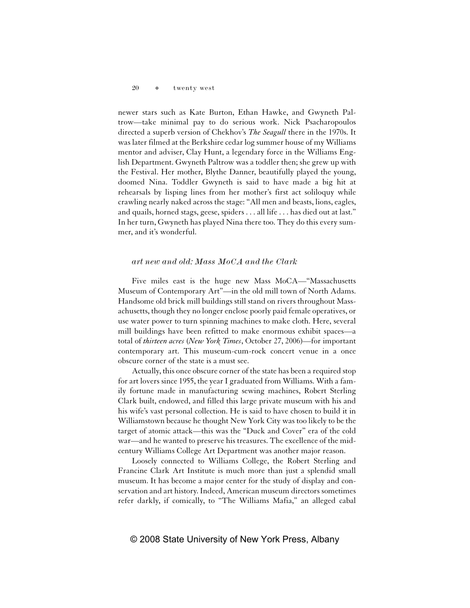newer stars such as Kate Burton, Ethan Hawke, and Gwyneth Paltrow—take minimal pay to do serious work. Nick Psacharopoulos directed a superb version of Chekhov's *The Seagull* there in the 1970s. It was later filmed at the Berkshire cedar log summer house of my Williams mentor and adviser, Clay Hunt, a legendary force in the Williams English Department. Gwyneth Paltrow was a toddler then; she grew up with the Festival. Her mother, Blythe Danner, beautifully played the young, doomed Nina. Toddler Gwyneth is said to have made a big hit at rehearsals by lisping lines from her mother's first act soliloquy while crawling nearly naked across the stage: "All men and beasts, lions, eagles, and quails, horned stags, geese, spiders . . . all life . . . has died out at last." In her turn, Gwyneth has played Nina there too. They do this every summer, and it's wonderful.

## *art new and old:Mass MoCA and the Clark*

Five miles east is the huge new Mass MoCA—"Massachusetts Museum of Contemporary Art"—in the old mill town of North Adams. Handsome old brick mill buildings still stand on rivers throughout Massachusetts, though they no longer enclose poorly paid female operatives, or use water power to turn spinning machines to make cloth. Here, several mill buildings have been refitted to make enormous exhibit spaces—a total of *thirteen acres* (*New York Times*, October 27, 2006)—for important contemporary art. This museum-cum-rock concert venue in a once obscure corner of the state is a must see.

Actually, this once obscure corner of the state has been a required stop for art lovers since 1955, the year I graduated from Williams. With a family fortune made in manufacturing sewing machines, Robert Sterling Clark built, endowed, and filled this large private museum with his and his wife's vast personal collection. He is said to have chosen to build it in Williamstown because he thought New York City was too likely to be the target of atomic attack—this was the "Duck and Cover" era of the cold war—and he wanted to preserve his treasures. The excellence of the midcentury Williams College Art Department was another major reason.

Loosely connected to Williams College, the Robert Sterling and Francine Clark Art Institute is much more than just a splendid small museum. It has become a major center for the study of display and conservation and art history. Indeed, American museum directors sometimes refer darkly, if comically, to "The Williams Mafia," an alleged cabal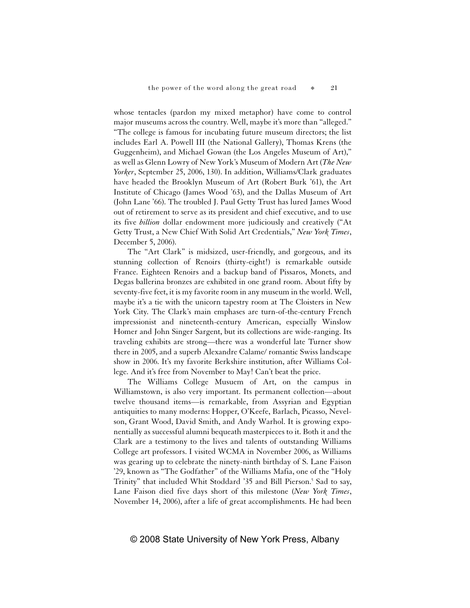whose tentacles (pardon my mixed metaphor) have come to control major museums across the country. Well, maybe it's more than "alleged." "The college is famous for incubating future museum directors; the list includes Earl A. Powell III (the National Gallery), Thomas Krens (the Guggenheim), and Michael Gowan (the Los Angeles Museum of Art)," as well as Glenn Lowry of New York's Museum of Modern Art (*The New Yorker*, September 25, 2006, 130). In addition, Williams/Clark graduates have headed the Brooklyn Museum of Art (Robert Burk '61), the Art Institute of Chicago (James Wood '63), and the Dallas Museum of Art (John Lane '66). The troubled J. Paul Getty Trust has lured James Wood out of retirement to serve as its president and chief executive, and to use its five *billion* dollar endowment more judiciously and creatively ("At Getty Trust, a New Chief With Solid Art Credentials," *New York Times*, December 5, 2006).

The "Art Clark" is midsized, user-friendly, and gorgeous, and its stunning collection of Renoirs (thirty-eight!) is remarkable outside France. Eighteen Renoirs and a backup band of Pissaros, Monets, and Degas ballerina bronzes are exhibited in one grand room. About fifty by seventy-five feet, it is my favorite room in any museum in the world. Well, maybe it's a tie with the unicorn tapestry room at The Cloisters in New York City. The Clark's main emphases are turn-of-the-century French impressionist and nineteenth-century American, especially Winslow Homer and John Singer Sargent, but its collections are wide-ranging. Its traveling exhibits are strong—there was a wonderful late Turner show there in 2005, and a superb Alexandre Calame/ romantic Swiss landscape show in 2006. It's my favorite Berkshire institution, after Williams College. And it's free from November to May! Can't beat the price.

The Williams College Musuem of Art, on the campus in Williamstown, is also very important. Its permanent collection—about twelve thousand items—is remarkable, from Assyrian and Egyptian antiquities to many moderns: Hopper, O'Keefe, Barlach, Picasso, Nevelson, Grant Wood, David Smith, and Andy Warhol. It is growing exponentially as successful alumni bequeath masterpieces to it. Both it and the Clark are a testimony to the lives and talents of outstanding Williams College art professors. I visited WCMA in November 2006, as Williams was gearing up to celebrate the ninety-ninth birthday of S. Lane Faison '29, known as "The Godfather" of the Williams Mafia, one of the "Holy Trinity" that included Whit Stoddard '35 and Bill Pierson.<sup>5</sup> Sad to say, Lane Faison died five days short of this milestone (*New York Times*, November 14, 2006), after a life of great accomplishments. He had been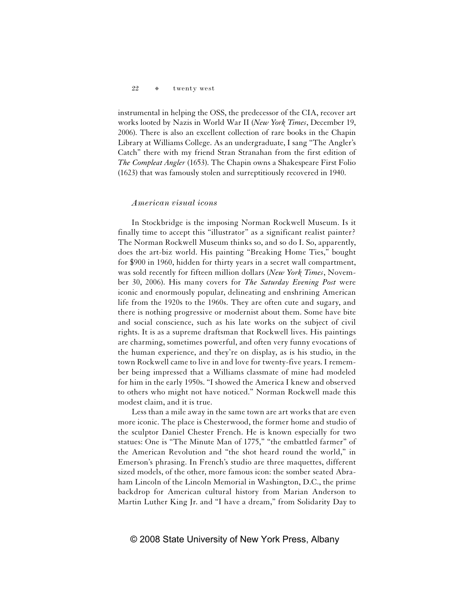#### 22 ◆ twenty west

instrumental in helping the OSS, the predecessor of the CIA, recover art works looted by Nazis in World War II (*New York Times*, December 19, 2006). There is also an excellent collection of rare books in the Chapin Library at Williams College. As an undergraduate, I sang "The Angler's Catch" there with my friend Stran Stranahan from the first edition of *The Compleat Angler* (1653). The Chapin owns a Shakespeare First Folio (1623) that was famously stolen and surreptitiously recovered in 1940.

## *American visual icons*

In Stockbridge is the imposing Norman Rockwell Museum. Is it finally time to accept this "illustrator" as a significant realist painter? The Norman Rockwell Museum thinks so, and so do I. So, apparently, does the art-biz world. His painting "Breaking Home Ties," bought for \$900 in 1960, hidden for thirty years in a secret wall compartment, was sold recently for fifteen million dollars (*New York Times*, November 30, 2006). His many covers for *The Saturday Evening Post* were iconic and enormously popular, delineating and enshrining American life from the 1920s to the 1960s. They are often cute and sugary, and there is nothing progressive or modernist about them. Some have bite and social conscience, such as his late works on the subject of civil rights. It is as a supreme draftsman that Rockwell lives. His paintings are charming, sometimes powerful, and often very funny evocations of the human experience, and they're on display, as is his studio, in the town Rockwell came to live in and love for twenty-five years. I remember being impressed that a Williams classmate of mine had modeled for him in the early 1950s. "I showed the America I knew and observed to others who might not have noticed." Norman Rockwell made this modest claim, and it is true.

Less than a mile away in the same town are art works that are even more iconic. The place is Chesterwood, the former home and studio of the sculptor Daniel Chester French. He is known especially for two statues: One is "The Minute Man of 1775," "the embattled farmer" of the American Revolution and "the shot heard round the world," in Emerson's phrasing. In French's studio are three maquettes, different sized models, of the other, more famous icon: the somber seated Abraham Lincoln of the Lincoln Memorial in Washington, D.C., the prime backdrop for American cultural history from Marian Anderson to Martin Luther King Jr. and "I have a dream," from Solidarity Day to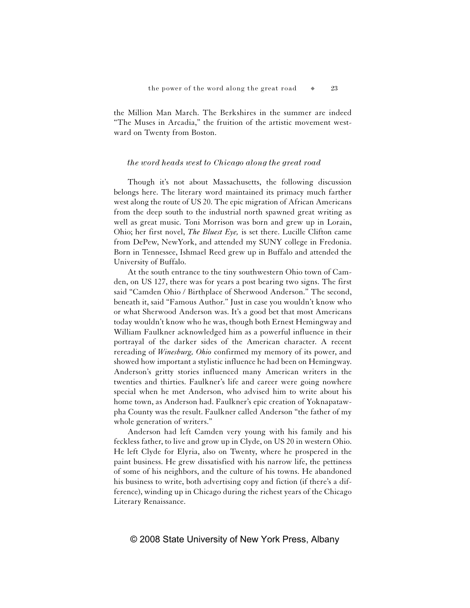the Million Man March. The Berkshires in the summer are indeed "The Muses in Arcadia," the fruition of the artistic movement westward on Twenty from Boston.

### *the word heads west to Chicago along the great road*

Though it's not about Massachusetts, the following discussion belongs here. The literary word maintained its primacy much farther west along the route of US 20. The epic migration of African Americans from the deep south to the industrial north spawned great writing as well as great music. Toni Morrison was born and grew up in Lorain, Ohio; her first novel, *The Bluest Eye,* is set there. Lucille Clifton came from DePew, NewYork, and attended my SUNY college in Fredonia. Born in Tennessee, Ishmael Reed grew up in Buffalo and attended the University of Buffalo.

At the south entrance to the tiny southwestern Ohio town of Camden, on US 127, there was for years a post bearing two signs. The first said "Camden Ohio / Birthplace of Sherwood Anderson." The second, beneath it, said "Famous Author." Just in case you wouldn't know who or what Sherwood Anderson was. It's a good bet that most Americans today wouldn't know who he was, though both Ernest Hemingway and William Faulkner acknowledged him as a powerful influence in their portrayal of the darker sides of the American character. A recent rereading of *Winesburg, Ohio* confirmed my memory of its power, and showed how important a stylistic influence he had been on Hemingway. Anderson's gritty stories influenced many American writers in the twenties and thirties. Faulkner's life and career were going nowhere special when he met Anderson, who advised him to write about his home town, as Anderson had. Faulkner's epic creation of Yoknapatawpha County was the result. Faulkner called Anderson "the father of my whole generation of writers."

Anderson had left Camden very young with his family and his feckless father, to live and grow up in Clyde, on US 20 in western Ohio. He left Clyde for Elyria, also on Twenty, where he prospered in the paint business. He grew dissatisfied with his narrow life, the pettiness of some of his neighbors, and the culture of his towns. He abandoned his business to write, both advertising copy and fiction (if there's a difference), winding up in Chicago during the richest years of the Chicago Literary Renaissance.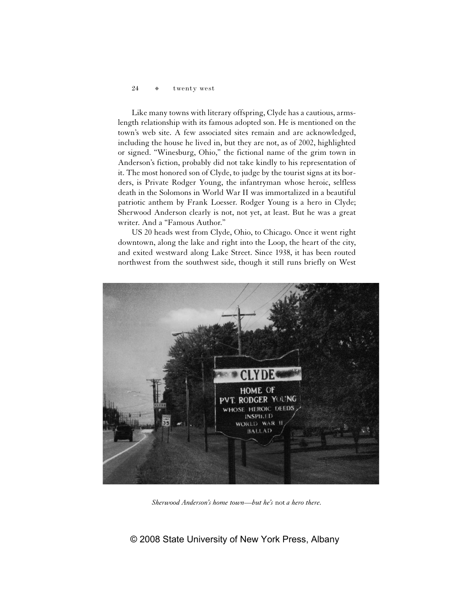#### 24 ◆ twenty west

Like many towns with literary offspring, Clyde has a cautious, armslength relationship with its famous adopted son. He is mentioned on the town's web site. A few associated sites remain and are acknowledged, including the house he lived in, but they are not, as of 2002, highlighted or signed. "Winesburg, Ohio," the fictional name of the grim town in Anderson's fiction, probably did not take kindly to his representation of it. The most honored son of Clyde, to judge by the tourist signs at its borders, is Private Rodger Young, the infantryman whose heroic, selfless death in the Solomons in World War II was immortalized in a beautiful patriotic anthem by Frank Loesser. Rodger Young is a hero in Clyde; Sherwood Anderson clearly is not, not yet, at least. But he was a great writer. And a "Famous Author."

US 20 heads west from Clyde, Ohio, to Chicago. Once it went right downtown, along the lake and right into the Loop, the heart of the city, and exited westward along Lake Street. Since 1938, it has been routed northwest from the southwest side, though it still runs briefly on West



*Sherwood Anderson's home town—but he's* not *a hero there.*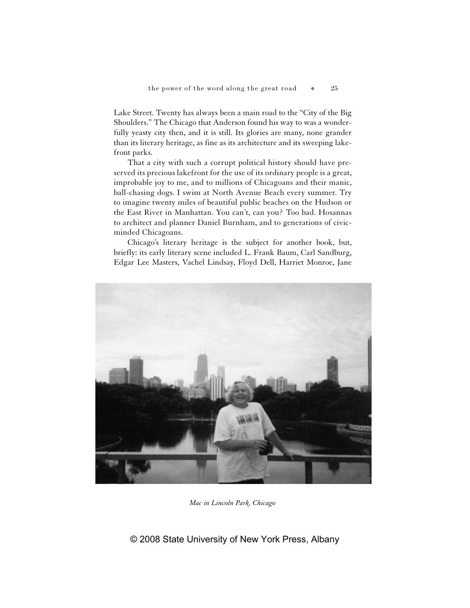Lake Street. Twenty has always been a main road to the "City of the Big Shoulders." The Chicago that Anderson found his way to was a wonderfully yeasty city then, and it is still. Its glories are many, none grander than its literary heritage, as fine as its architecture and its sweeping lakefront parks.

That a city with such a corrupt political history should have preserved its precious lakefront for the use of its ordinary people is a great, improbable joy to me, and to millions of Chicagoans and their manic, ball-chasing dogs. I swim at North Avenue Beach every summer. Try to imagine twenty miles of beautiful public beaches on the Hudson or the East River in Manhattan. You can't, can you? Too bad. Hosannas to architect and planner Daniel Burnham, and to generations of civicminded Chicagoans.

Chicago's literary heritage is the subject for another book, but, briefly: its early literary scene included L. Frank Baum, Carl Sandburg, Edgar Lee Masters, Vachel Lindsay, Floyd Dell, Harriet Monroe, Jane



*Mac in Lincoln Park, Chicago*